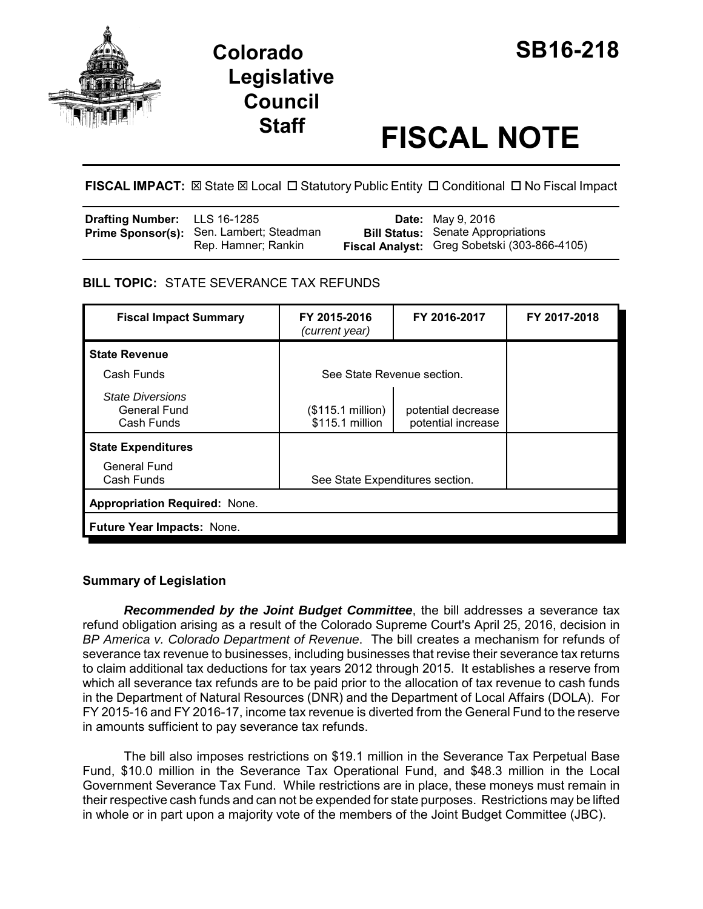



# **Staff FISCAL NOTE**

FISCAL IMPACT:  $\boxtimes$  State  $\boxtimes$  Local  $\Box$  Statutory Public Entity  $\Box$  Conditional  $\Box$  No Fiscal Impact

| <b>Drafting Number:</b> LLS 16-1285 |                                          | <b>Date:</b> May 9, 2016                     |
|-------------------------------------|------------------------------------------|----------------------------------------------|
|                                     | Prime Sponsor(s): Sen. Lambert; Steadman | <b>Bill Status:</b> Senate Appropriations    |
|                                     | Rep. Hamner; Rankin                      | Fiscal Analyst: Greg Sobetski (303-866-4105) |

# **BILL TOPIC:** STATE SEVERANCE TAX REFUNDS

| <b>Fiscal Impact Summary</b>                          | FY 2015-2016<br>(current year)       | FY 2016-2017                             | FY 2017-2018 |  |  |
|-------------------------------------------------------|--------------------------------------|------------------------------------------|--------------|--|--|
| <b>State Revenue</b>                                  |                                      |                                          |              |  |  |
| Cash Funds                                            | See State Revenue section.           |                                          |              |  |  |
| <b>State Diversions</b><br>General Fund<br>Cash Funds | (\$115.1 million)<br>\$115.1 million | potential decrease<br>potential increase |              |  |  |
| <b>State Expenditures</b>                             |                                      |                                          |              |  |  |
| General Fund<br>Cash Funds                            | See State Expenditures section.      |                                          |              |  |  |
| <b>Appropriation Required: None.</b>                  |                                      |                                          |              |  |  |
| Future Year Impacts: None.                            |                                      |                                          |              |  |  |

# **Summary of Legislation**

*Recommended by the Joint Budget Committee*, the bill addresses a severance tax refund obligation arising as a result of the Colorado Supreme Court's April 25, 2016, decision in *BP America v. Colorado Department of Revenue*. The bill creates a mechanism for refunds of severance tax revenue to businesses, including businesses that revise their severance tax returns to claim additional tax deductions for tax years 2012 through 2015. It establishes a reserve from which all severance tax refunds are to be paid prior to the allocation of tax revenue to cash funds in the Department of Natural Resources (DNR) and the Department of Local Affairs (DOLA). For FY 2015-16 and FY 2016-17, income tax revenue is diverted from the General Fund to the reserve in amounts sufficient to pay severance tax refunds.

The bill also imposes restrictions on \$19.1 million in the Severance Tax Perpetual Base Fund, \$10.0 million in the Severance Tax Operational Fund, and \$48.3 million in the Local Government Severance Tax Fund. While restrictions are in place, these moneys must remain in their respective cash funds and can not be expended for state purposes. Restrictions may be lifted in whole or in part upon a majority vote of the members of the Joint Budget Committee (JBC).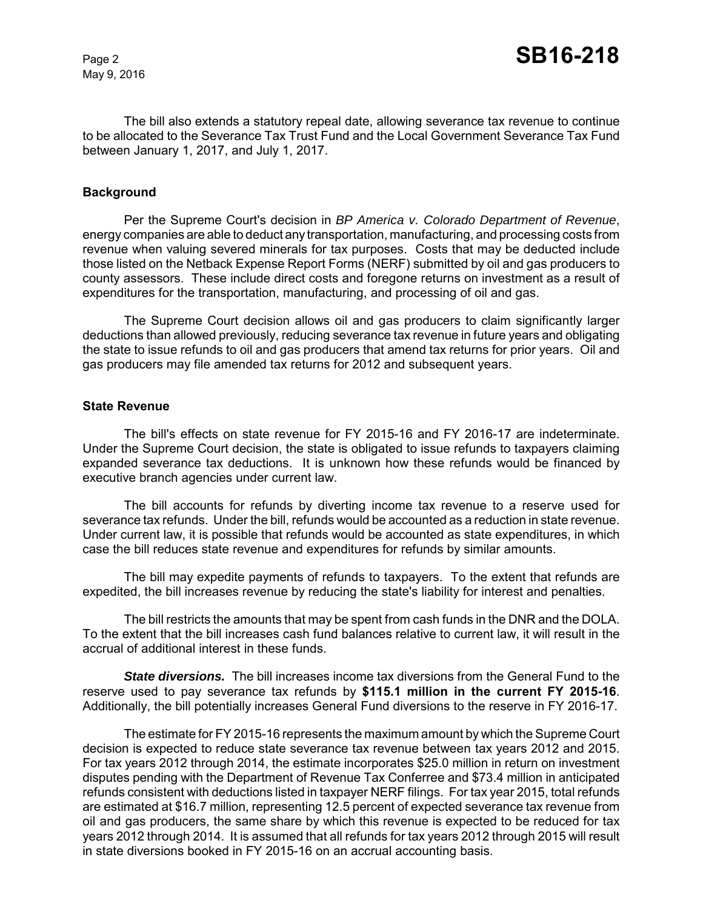May 9, 2016

The bill also extends a statutory repeal date, allowing severance tax revenue to continue to be allocated to the Severance Tax Trust Fund and the Local Government Severance Tax Fund between January 1, 2017, and July 1, 2017.

## **Background**

Per the Supreme Court's decision in *BP America v. Colorado Department of Revenue*, energy companies are able to deduct any transportation, manufacturing, and processing costs from revenue when valuing severed minerals for tax purposes. Costs that may be deducted include those listed on the Netback Expense Report Forms (NERF) submitted by oil and gas producers to county assessors. These include direct costs and foregone returns on investment as a result of expenditures for the transportation, manufacturing, and processing of oil and gas.

The Supreme Court decision allows oil and gas producers to claim significantly larger deductions than allowed previously, reducing severance tax revenue in future years and obligating the state to issue refunds to oil and gas producers that amend tax returns for prior years. Oil and gas producers may file amended tax returns for 2012 and subsequent years.

#### **State Revenue**

The bill's effects on state revenue for FY 2015-16 and FY 2016-17 are indeterminate. Under the Supreme Court decision, the state is obligated to issue refunds to taxpayers claiming expanded severance tax deductions. It is unknown how these refunds would be financed by executive branch agencies under current law.

The bill accounts for refunds by diverting income tax revenue to a reserve used for severance tax refunds. Under the bill, refunds would be accounted as a reduction in state revenue. Under current law, it is possible that refunds would be accounted as state expenditures, in which case the bill reduces state revenue and expenditures for refunds by similar amounts.

The bill may expedite payments of refunds to taxpayers. To the extent that refunds are expedited, the bill increases revenue by reducing the state's liability for interest and penalties.

The bill restricts the amounts that may be spent from cash funds in the DNR and the DOLA. To the extent that the bill increases cash fund balances relative to current law, it will result in the accrual of additional interest in these funds.

*State diversions.* The bill increases income tax diversions from the General Fund to the reserve used to pay severance tax refunds by **\$115.1 million in the current FY 2015-16**. Additionally, the bill potentially increases General Fund diversions to the reserve in FY 2016-17.

The estimate for FY 2015-16 represents the maximum amount by which the Supreme Court decision is expected to reduce state severance tax revenue between tax years 2012 and 2015. For tax years 2012 through 2014, the estimate incorporates \$25.0 million in return on investment disputes pending with the Department of Revenue Tax Conferree and \$73.4 million in anticipated refunds consistent with deductions listed in taxpayer NERF filings. For tax year 2015, total refunds are estimated at \$16.7 million, representing 12.5 percent of expected severance tax revenue from oil and gas producers, the same share by which this revenue is expected to be reduced for tax years 2012 through 2014. It is assumed that all refunds for tax years 2012 through 2015 will result in state diversions booked in FY 2015-16 on an accrual accounting basis.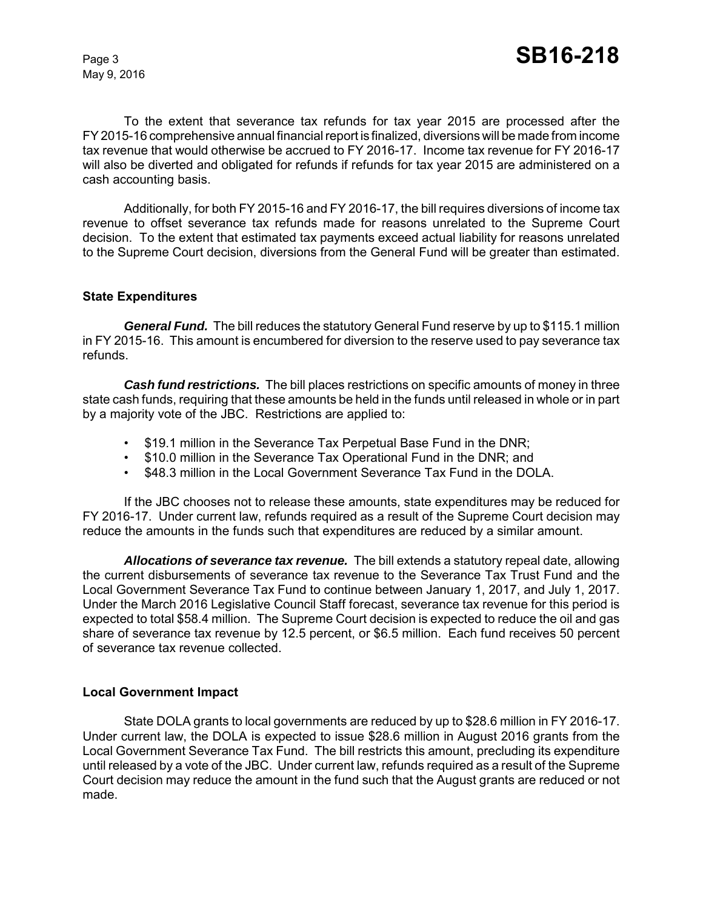May 9, 2016

To the extent that severance tax refunds for tax year 2015 are processed after the FY 2015-16 comprehensive annual financial report is finalized, diversions will be made from income tax revenue that would otherwise be accrued to FY 2016-17. Income tax revenue for FY 2016-17 will also be diverted and obligated for refunds if refunds for tax year 2015 are administered on a cash accounting basis.

Additionally, for both FY 2015-16 and FY 2016-17, the bill requires diversions of income tax revenue to offset severance tax refunds made for reasons unrelated to the Supreme Court decision. To the extent that estimated tax payments exceed actual liability for reasons unrelated to the Supreme Court decision, diversions from the General Fund will be greater than estimated.

#### **State Expenditures**

*General Fund.* The bill reduces the statutory General Fund reserve by up to \$115.1 million in FY 2015-16. This amount is encumbered for diversion to the reserve used to pay severance tax refunds.

*Cash fund restrictions.* The bill places restrictions on specific amounts of money in three state cash funds, requiring that these amounts be held in the funds until released in whole or in part by a majority vote of the JBC. Restrictions are applied to:

- \$19.1 million in the Severance Tax Perpetual Base Fund in the DNR;
- \$10.0 million in the Severance Tax Operational Fund in the DNR; and
- \$48.3 million in the Local Government Severance Tax Fund in the DOLA.

If the JBC chooses not to release these amounts, state expenditures may be reduced for FY 2016-17. Under current law, refunds required as a result of the Supreme Court decision may reduce the amounts in the funds such that expenditures are reduced by a similar amount.

*Allocations of severance tax revenue.* The bill extends a statutory repeal date, allowing the current disbursements of severance tax revenue to the Severance Tax Trust Fund and the Local Government Severance Tax Fund to continue between January 1, 2017, and July 1, 2017. Under the March 2016 Legislative Council Staff forecast, severance tax revenue for this period is expected to total \$58.4 million. The Supreme Court decision is expected to reduce the oil and gas share of severance tax revenue by 12.5 percent, or \$6.5 million. Each fund receives 50 percent of severance tax revenue collected.

## **Local Government Impact**

State DOLA grants to local governments are reduced by up to \$28.6 million in FY 2016-17. Under current law, the DOLA is expected to issue \$28.6 million in August 2016 grants from the Local Government Severance Tax Fund. The bill restricts this amount, precluding its expenditure until released by a vote of the JBC. Under current law, refunds required as a result of the Supreme Court decision may reduce the amount in the fund such that the August grants are reduced or not made.